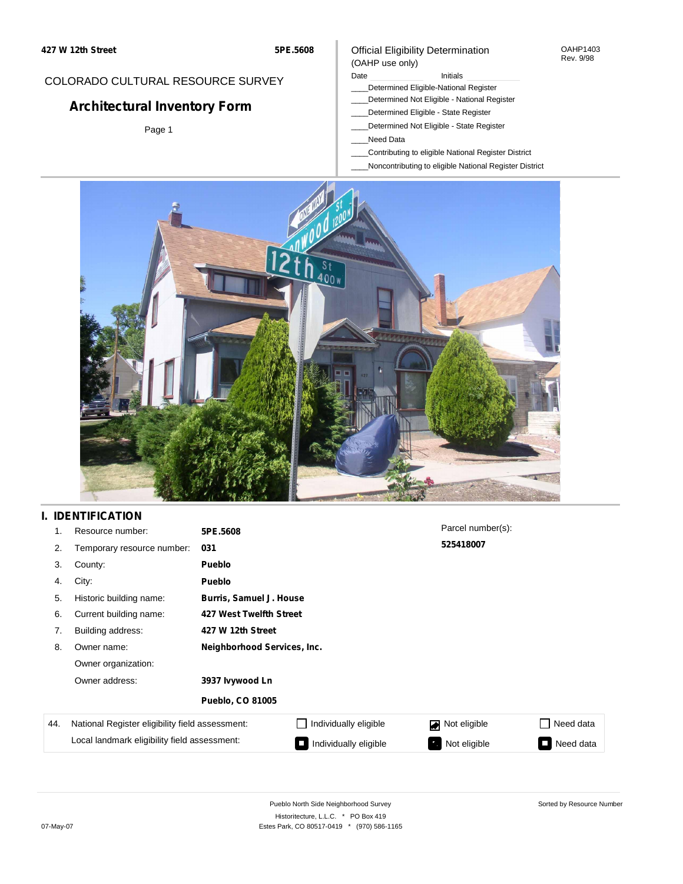## COLORADO CULTURAL RESOURCE SURVEY

# **Architectural Inventory Form**

Page 1

#### Official Eligibility Determination (OAHP use only)

#### Date **Initials** Initials

- \_\_\_\_Determined Eligible-National Register
- \_\_\_\_Determined Not Eligible National Register
- \_\_\_\_Determined Eligible State Register
- \_\_\_\_Determined Not Eligible State Register
- \_\_\_\_Need Data
- \_\_\_\_Contributing to eligible National Register District
- \_\_\_\_Noncontributing to eligible National Register District



# **I. IDENTIFICATION**

| 1.  | Resource number:                                | 5PE.5608                    |                                | Parcel number(s): |           |  |  |  |
|-----|-------------------------------------------------|-----------------------------|--------------------------------|-------------------|-----------|--|--|--|
| 2.  | Temporary resource number:                      | 031                         |                                | 525418007         |           |  |  |  |
| 3.  | County:                                         | <b>Pueblo</b>               |                                |                   |           |  |  |  |
| 4.  | City:                                           | <b>Pueblo</b>               |                                |                   |           |  |  |  |
| 5.  | Historic building name:                         |                             | <b>Burris, Samuel J. House</b> |                   |           |  |  |  |
| 6.  | Current building name:                          |                             | 427 West Twelfth Street        |                   |           |  |  |  |
| 7.  | Building address:                               | 427 W 12th Street           |                                |                   |           |  |  |  |
| 8.  | Owner name:                                     | Neighborhood Services, Inc. |                                |                   |           |  |  |  |
|     | Owner organization:                             |                             |                                |                   |           |  |  |  |
|     | Owner address:                                  | 3937 Ivywood Ln             |                                |                   |           |  |  |  |
|     |                                                 | <b>Pueblo, CO 81005</b>     |                                |                   |           |  |  |  |
| 44. | National Register eligibility field assessment: |                             | Individually eligible          | Not eligible<br>◪ | Need data |  |  |  |
|     | Local landmark eligibility field assessment:    |                             | Individually eligible          | Not eligible<br>ъ | Need data |  |  |  |

OAHP1403 Rev. 9/98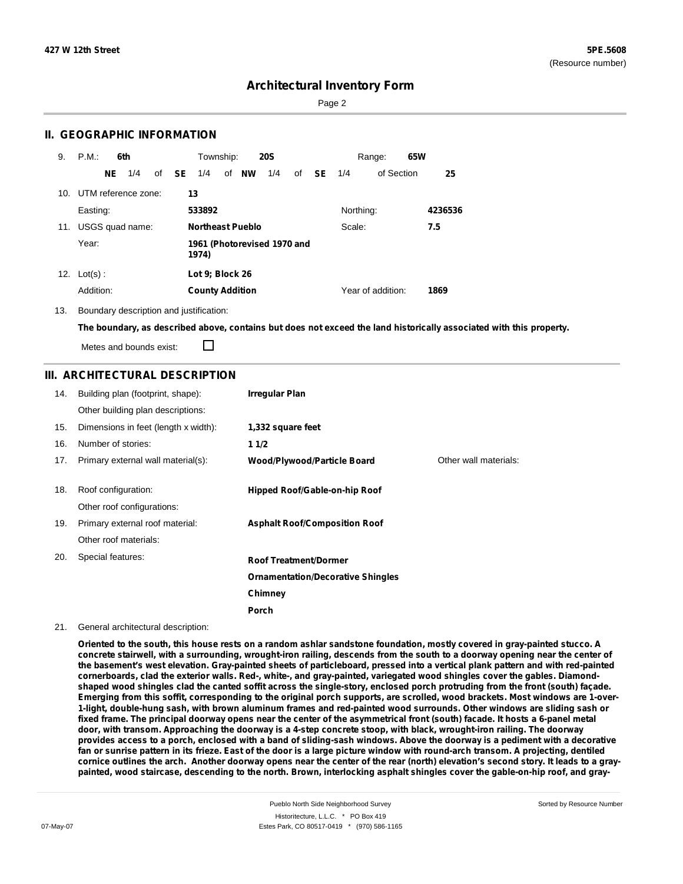Sorted by Resource Number

## **Architectural Inventory Form**

Page 2

### **II. GEOGRAPHIC INFORMATION**

| 9.  | P.M.                    |     | 6th             |              | Township:              |                         | <b>20S</b>                  |    |           |           | Range:            | 65W |         |
|-----|-------------------------|-----|-----------------|--------------|------------------------|-------------------------|-----------------------------|----|-----------|-----------|-------------------|-----|---------|
|     |                         | NE. | 1/4             | of <b>SE</b> | 1/4                    | of NW                   | 1/4                         | of | <b>SE</b> | 1/4       | of Section        |     | 25      |
|     | 10. UTM reference zone: |     |                 |              | 13                     |                         |                             |    |           |           |                   |     |         |
|     | Easting:                |     |                 |              | 533892                 |                         |                             |    |           | Northing: |                   |     | 4236536 |
| 11. |                         |     | USGS quad name: |              |                        | <b>Northeast Pueblo</b> |                             |    |           | Scale:    |                   |     | 7.5     |
|     | Year:                   |     |                 |              | 1974)                  |                         | 1961 (Photorevised 1970 and |    |           |           |                   |     |         |
| 12. | $Lot(s)$ :              |     |                 |              | Lot 9; Block 26        |                         |                             |    |           |           |                   |     |         |
|     | Addition:               |     |                 |              | <b>County Addition</b> |                         |                             |    |           |           | Year of addition: |     | 1869    |

13. Boundary description and justification:

The boundary, as described above, contains but does not exceed the land historically associated with this property.

Metes and bounds exist:

П

#### **III. ARCHITECTURAL DESCRIPTION**

| 14. | Building plan (footprint, shape):    | <b>Irregular Plan</b>                    |                       |
|-----|--------------------------------------|------------------------------------------|-----------------------|
|     | Other building plan descriptions:    |                                          |                       |
| 15. | Dimensions in feet (length x width): | 1,332 square feet                        |                       |
| 16. | Number of stories:                   | 11/2                                     |                       |
| 17. | Primary external wall material(s):   | <b>Wood/Plywood/Particle Board</b>       | Other wall materials: |
|     |                                      |                                          |                       |
| 18. | Roof configuration:                  | Hipped Roof/Gable-on-hip Roof            |                       |
|     | Other roof configurations:           |                                          |                       |
| 19. | Primary external roof material:      | <b>Asphalt Roof/Composition Roof</b>     |                       |
|     | Other roof materials:                |                                          |                       |
| 20. | Special features:                    | <b>Roof Treatment/Dormer</b>             |                       |
|     |                                      | <b>Ornamentation/Decorative Shingles</b> |                       |
|     |                                      | Chimney                                  |                       |
|     |                                      | <b>Porch</b>                             |                       |

#### 21. General architectural description:

Oriented to the south, this house rests on a random ashlar sandstone foundation, mostly covered in gray-painted stucco. A concrete stairwell, with a surrounding, wrought-iron railing, descends from the south to a doorway opening near the center of the basement's west elevation. Gray-painted sheets of particleboard, pressed into a vertical plank pattern and with red-painted cornerboards, clad the exterior walls. Red-, white-, and gray-painted, variegated wood shingles cover the gables. Diamondshaped wood shingles clad the canted soffit across the single-story, enclosed porch protruding from the front (south) façade. Emerging from this soffit, corresponding to the original porch supports, are scrolled, wood brackets. Most windows are 1-over-1-light, double-hung sash, with brown aluminum frames and red-painted wood surrounds. Other windows are sliding sash or fixed frame. The principal doorway opens near the center of the asymmetrical front (south) facade. It hosts a 6-panel metal door, with transom. Approaching the doorway is a 4-step concrete stoop, with black, wrought-iron railing. The doorway provides access to a porch, enclosed with a band of sliding-sash windows. Above the doorway is a pediment with a decorative fan or sunrise pattern in its frieze. East of the door is a large picture window with round-arch transom. A projecting, dentiled cornice outlines the arch. Another doorway opens near the center of the rear (north) elevation's second story. It leads to a graypainted, wood staircase, descending to the north. Brown, interlocking asphalt shingles cover the gable-on-hip roof, and gray-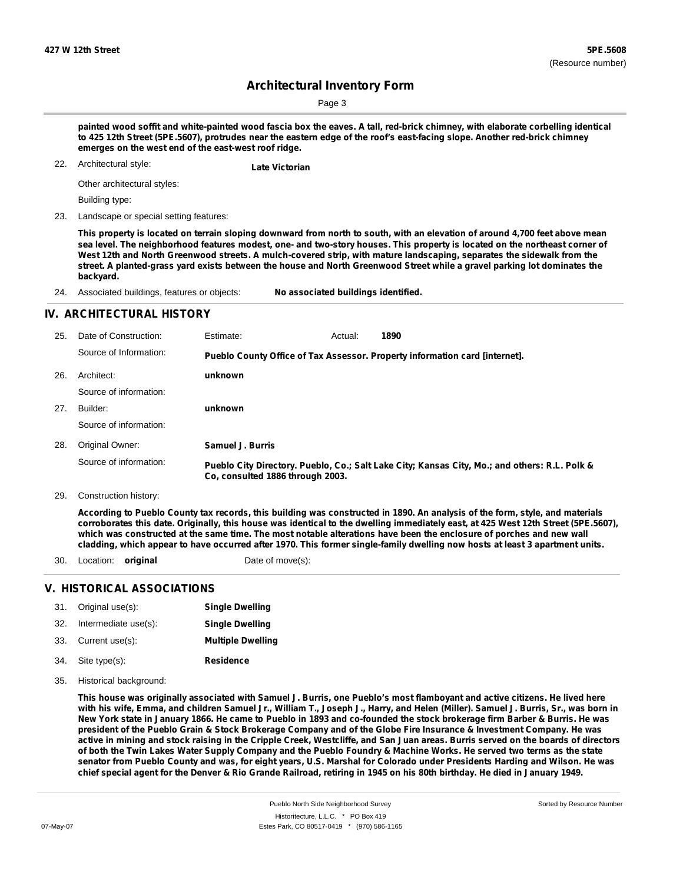Sorted by Resource Number

# **Architectural Inventory Form**

Page 3

painted wood soffit and white-painted wood fascia box the eaves. A tall, red-brick chimney, with elaborate corbelling identical to 425 12th Street (5PE.5607), protrudes near the eastern edge of the roof's east-facing slope. Another red-brick chimney **emerges on the west end of the east-west roof ridge.**

Architectural style: 22. **Late Victorian**

Other architectural styles:

Building type:

23. Landscape or special setting features:

This property is located on terrain sloping downward from north to south, with an elevation of around 4,700 feet above mean sea level. The neighborhood features modest, one- and two-story houses. This property is located on the northeast corner of West 12th and North Greenwood streets. A mulch-covered strip, with mature landscaping, separates the sidewalk from the street. A planted-grass yard exists between the house and North Greenwood Street while a gravel parking lot dominates the **backyard.**

24. Associated buildings, features or objects: **No associated buildings identified.**

### **IV. ARCHITECTURAL HISTORY**

| Date of Construction:  | Estimate:        | 1890                                        |                                                                                                                                                                              |
|------------------------|------------------|---------------------------------------------|------------------------------------------------------------------------------------------------------------------------------------------------------------------------------|
| Source of Information: |                  |                                             |                                                                                                                                                                              |
| Architect:             | unknown          |                                             |                                                                                                                                                                              |
| Source of information: |                  |                                             |                                                                                                                                                                              |
| Builder:               | unknown          |                                             |                                                                                                                                                                              |
| Source of information: |                  |                                             |                                                                                                                                                                              |
| Original Owner:        | Samuel J. Burris |                                             |                                                                                                                                                                              |
| Source of information: |                  |                                             |                                                                                                                                                                              |
|                        |                  | Actual:<br>Co, consulted 1886 through 2003. | Pueblo County Office of Tax Assessor. Property information card [internet].<br>Pueblo City Directory. Pueblo, Co.; Salt Lake City; Kansas City, Mo.; and others: R.L. Polk & |

29. Construction history:

According to Pueblo County tax records, this building was constructed in 1890. An analysis of the form, style, and materials corroborates this date. Originally, this house was identical to the dwelling immediately east, at 425 West 12th Street (5PE.5607), which was constructed at the same time. The most notable alterations have been the enclosure of porches and new wall cladding, which appear to have occurred after 1970. This former single-family dwelling now hosts at least 3 apartment units.

30. Location: **original** Date of move(s):

### **V. HISTORICAL ASSOCIATIONS**

| 31. | Original use(s):     | <b>Single Dwelling</b>   |
|-----|----------------------|--------------------------|
| 32. | Intermediate use(s): | <b>Single Dwelling</b>   |
| 33. | Current use(s):      | <b>Multiple Dwelling</b> |
| 34. | Site type(s):        | <b>Residence</b>         |

35. Historical background:

This house was originally associated with Samuel J. Burris, one Pueblo's most flamboyant and active citizens. He lived here with his wife, Emma, and children Samuel Jr., William T., Joseph J., Harry, and Helen (Miller). Samuel J. Burris, Sr., was born in New York state in January 1866. He came to Pueblo in 1893 and co-founded the stock brokerage firm Barber & Burris. He was president of the Pueblo Grain & Stock Brokerage Company and of the Globe Fire Insurance & Investment Company. He was active in mining and stock raising in the Cripple Creek, Westcliffe, and San Juan areas. Burris served on the boards of directors of both the Twin Lakes Water Supply Company and the Pueblo Foundry & Machine Works. He served two terms as the state senator from Pueblo County and was, for eight years, U.S. Marshal for Colorado under Presidents Harding and Wilson. He was chief special agent for the Denver & Rio Grande Railroad, retiring in 1945 on his 80th birthday. He died in January 1949.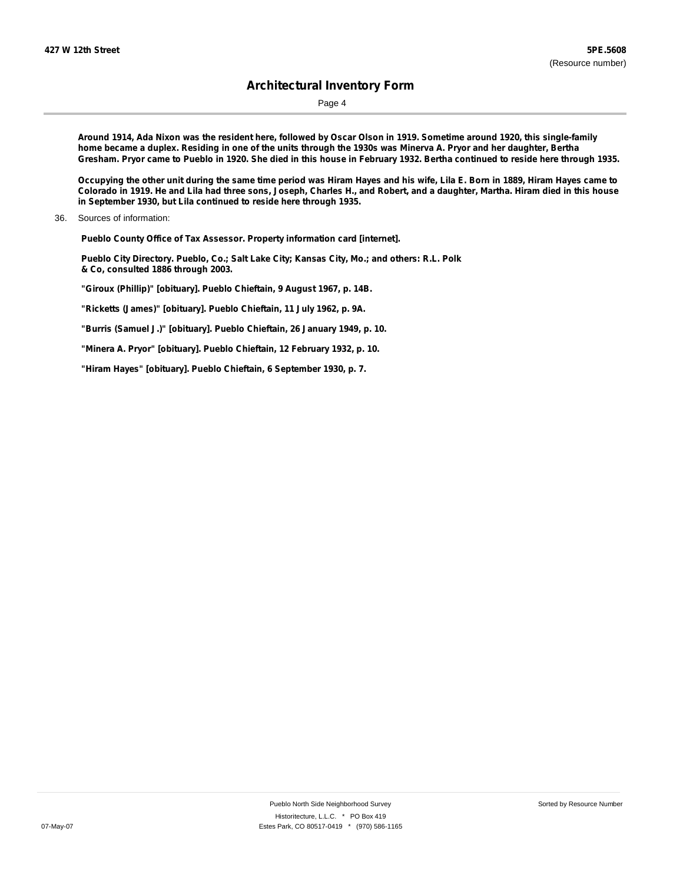Page 4

Around 1914, Ada Nixon was the resident here, followed by Oscar Olson in 1919. Sometime around 1920, this single-family home became a duplex. Residing in one of the units through the 1930s was Minerva A. Pryor and her daughter, Bertha Gresham. Pryor came to Pueblo in 1920. She died in this house in February 1932. Bertha continued to reside here through 1935.

Occupying the other unit during the same time period was Hiram Hayes and his wife, Lila E. Born in 1889, Hiram Hayes came to Colorado in 1919. He and Lila had three sons, Joseph, Charles H., and Robert, and a daughter, Martha. Hiram died in this house **in September 1930, but Lila continued to reside here through 1935.**

36. Sources of information:

**Pueblo County Office of Tax Assessor. Property information card [internet].**

**Pueblo City Directory. Pueblo, Co.; Salt Lake City; Kansas City, Mo.; and others: R.L. Polk & Co, consulted 1886 through 2003.**

**"Giroux (Phillip)" [obituary]. Pueblo Chieftain, 9 August 1967, p. 14B.**

**"Ricketts (James)" [obituary]. Pueblo Chieftain, 11 July 1962, p. 9A.**

**"Burris (Samuel J.)" [obituary]. Pueblo Chieftain, 26 January 1949, p. 10.**

**"Minera A. Pryor" [obituary]. Pueblo Chieftain, 12 February 1932, p. 10.**

**"Hiram Hayes" [obituary]. Pueblo Chieftain, 6 September 1930, p. 7.**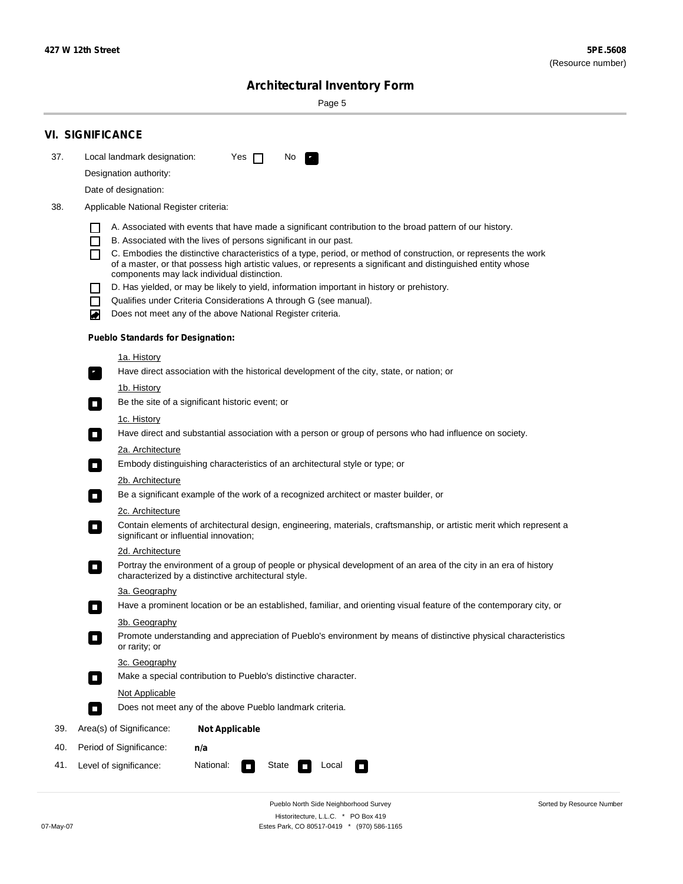$\sim$ 

Sorted by Resource Number

# **Architectural Inventory Form**

Page 5

|     | <b>VI. SIGNIFICANCE</b>                                                                                                                                                                                                                                                |                                                                                                                                                                                                                                                                                                                                                                                                                                                                                                                                                                                                                                                                                                                                                                                                                                                                                                                                                                                                                                                                                                                                                                                                                                                                                                                                                   |
|-----|------------------------------------------------------------------------------------------------------------------------------------------------------------------------------------------------------------------------------------------------------------------------|---------------------------------------------------------------------------------------------------------------------------------------------------------------------------------------------------------------------------------------------------------------------------------------------------------------------------------------------------------------------------------------------------------------------------------------------------------------------------------------------------------------------------------------------------------------------------------------------------------------------------------------------------------------------------------------------------------------------------------------------------------------------------------------------------------------------------------------------------------------------------------------------------------------------------------------------------------------------------------------------------------------------------------------------------------------------------------------------------------------------------------------------------------------------------------------------------------------------------------------------------------------------------------------------------------------------------------------------------|
| 37. | Local landmark designation:                                                                                                                                                                                                                                            | Yes $\Box$<br>No.<br>$\mathcal{F}_\alpha$                                                                                                                                                                                                                                                                                                                                                                                                                                                                                                                                                                                                                                                                                                                                                                                                                                                                                                                                                                                                                                                                                                                                                                                                                                                                                                         |
|     | Designation authority:                                                                                                                                                                                                                                                 |                                                                                                                                                                                                                                                                                                                                                                                                                                                                                                                                                                                                                                                                                                                                                                                                                                                                                                                                                                                                                                                                                                                                                                                                                                                                                                                                                   |
|     | Date of designation:                                                                                                                                                                                                                                                   |                                                                                                                                                                                                                                                                                                                                                                                                                                                                                                                                                                                                                                                                                                                                                                                                                                                                                                                                                                                                                                                                                                                                                                                                                                                                                                                                                   |
| 38. | Applicable National Register criteria:                                                                                                                                                                                                                                 |                                                                                                                                                                                                                                                                                                                                                                                                                                                                                                                                                                                                                                                                                                                                                                                                                                                                                                                                                                                                                                                                                                                                                                                                                                                                                                                                                   |
|     | $\mathsf{L}$<br>П<br>П<br>$\Box$<br>П<br>O<br>1a. History<br>$\mathbf{r}_\perp$<br><u>1b. History</u><br>$\overline{\phantom{a}}$<br>1c. History<br>$\Box$<br>2a. Architecture<br>$\Box$<br>2b. Architecture<br>$\sim$<br>2c. Architecture<br>$\overline{\phantom{a}}$ | A. Associated with events that have made a significant contribution to the broad pattern of our history.<br>B. Associated with the lives of persons significant in our past.<br>C. Embodies the distinctive characteristics of a type, period, or method of construction, or represents the work<br>of a master, or that possess high artistic values, or represents a significant and distinguished entity whose<br>components may lack individual distinction.<br>D. Has yielded, or may be likely to yield, information important in history or prehistory.<br>Qualifies under Criteria Considerations A through G (see manual).<br>Does not meet any of the above National Register criteria.<br><b>Pueblo Standards for Designation:</b><br>Have direct association with the historical development of the city, state, or nation; or<br>Be the site of a significant historic event; or<br>Have direct and substantial association with a person or group of persons who had influence on society.<br>Embody distinguishing characteristics of an architectural style or type; or<br>Be a significant example of the work of a recognized architect or master builder, or<br>Contain elements of architectural design, engineering, materials, craftsmanship, or artistic merit which represent a<br>significant or influential innovation; |
|     | 2d. Architecture                                                                                                                                                                                                                                                       |                                                                                                                                                                                                                                                                                                                                                                                                                                                                                                                                                                                                                                                                                                                                                                                                                                                                                                                                                                                                                                                                                                                                                                                                                                                                                                                                                   |
|     | $\overline{\phantom{a}}$                                                                                                                                                                                                                                               | Portray the environment of a group of people or physical development of an area of the city in an era of history<br>characterized by a distinctive architectural style.                                                                                                                                                                                                                                                                                                                                                                                                                                                                                                                                                                                                                                                                                                                                                                                                                                                                                                                                                                                                                                                                                                                                                                           |
|     | 3a. Geography                                                                                                                                                                                                                                                          |                                                                                                                                                                                                                                                                                                                                                                                                                                                                                                                                                                                                                                                                                                                                                                                                                                                                                                                                                                                                                                                                                                                                                                                                                                                                                                                                                   |
|     |                                                                                                                                                                                                                                                                        | Have a prominent location or be an established, familiar, and orienting visual feature of the contemporary city, or                                                                                                                                                                                                                                                                                                                                                                                                                                                                                                                                                                                                                                                                                                                                                                                                                                                                                                                                                                                                                                                                                                                                                                                                                               |
|     | 3b. Geography<br>or rarity; or                                                                                                                                                                                                                                         | Promote understanding and appreciation of Pueblo's environment by means of distinctive physical characteristics                                                                                                                                                                                                                                                                                                                                                                                                                                                                                                                                                                                                                                                                                                                                                                                                                                                                                                                                                                                                                                                                                                                                                                                                                                   |
|     | 3c. Geography                                                                                                                                                                                                                                                          |                                                                                                                                                                                                                                                                                                                                                                                                                                                                                                                                                                                                                                                                                                                                                                                                                                                                                                                                                                                                                                                                                                                                                                                                                                                                                                                                                   |
|     | $\overline{\phantom{a}}$                                                                                                                                                                                                                                               | Make a special contribution to Pueblo's distinctive character.                                                                                                                                                                                                                                                                                                                                                                                                                                                                                                                                                                                                                                                                                                                                                                                                                                                                                                                                                                                                                                                                                                                                                                                                                                                                                    |
|     | Not Applicable                                                                                                                                                                                                                                                         |                                                                                                                                                                                                                                                                                                                                                                                                                                                                                                                                                                                                                                                                                                                                                                                                                                                                                                                                                                                                                                                                                                                                                                                                                                                                                                                                                   |
|     | $\Box$                                                                                                                                                                                                                                                                 | Does not meet any of the above Pueblo landmark criteria.                                                                                                                                                                                                                                                                                                                                                                                                                                                                                                                                                                                                                                                                                                                                                                                                                                                                                                                                                                                                                                                                                                                                                                                                                                                                                          |
| 39. | Area(s) of Significance:                                                                                                                                                                                                                                               | <b>Not Applicable</b>                                                                                                                                                                                                                                                                                                                                                                                                                                                                                                                                                                                                                                                                                                                                                                                                                                                                                                                                                                                                                                                                                                                                                                                                                                                                                                                             |
| 40. | Period of Significance:                                                                                                                                                                                                                                                | n/a                                                                                                                                                                                                                                                                                                                                                                                                                                                                                                                                                                                                                                                                                                                                                                                                                                                                                                                                                                                                                                                                                                                                                                                                                                                                                                                                               |
| 41. | Level of significance:                                                                                                                                                                                                                                                 | National:<br>State<br>Local<br>U                                                                                                                                                                                                                                                                                                                                                                                                                                                                                                                                                                                                                                                                                                                                                                                                                                                                                                                                                                                                                                                                                                                                                                                                                                                                                                                  |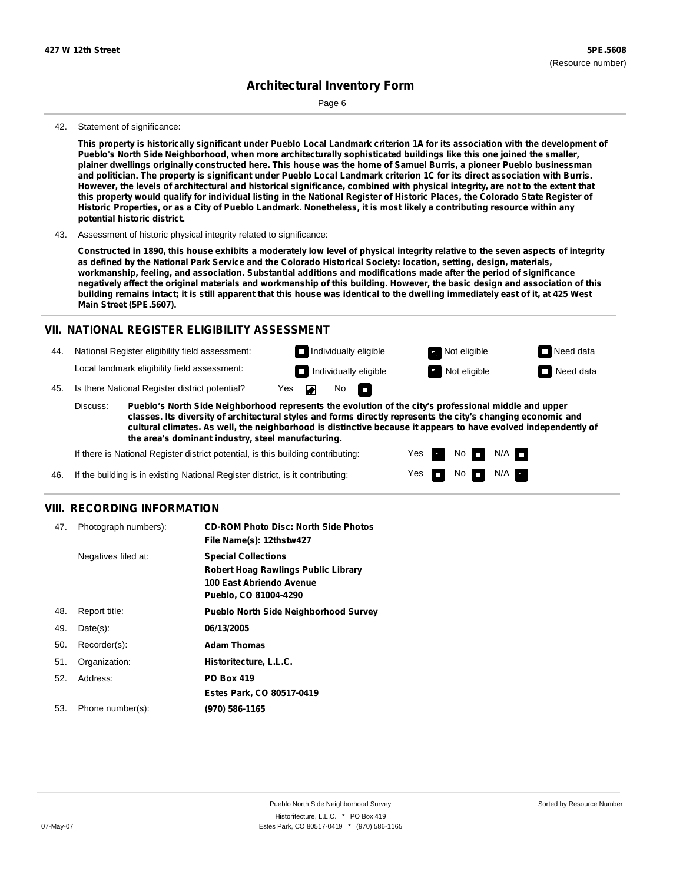Page 6

#### 42. Statement of significance:

This property is historically significant under Pueblo Local Landmark criterion 1A for its association with the development of **Pueblo's North Side Neighborhood, when more architecturally sophisticated buildings like this one joined the smaller,** plainer dwellings originally constructed here. This house was the home of Samuel Burris, a pioneer Pueblo businessman and politician. The property is significant under Pueblo Local Landmark criterion 1C for its direct association with Burris. However, the levels of architectural and historical significance, combined with physical integrity, are not to the extent that this property would qualify for individual listing in the National Register of Historic Places, the Colorado State Register of Historic Properties, or as a City of Pueblo Landmark. Nonetheless, it is most likely a contributing resource within any **potential historic district.**

43. Assessment of historic physical integrity related to significance:

Constructed in 1890, this house exhibits a moderately low level of physical integrity relative to the seven aspects of integrity as defined by the National Park Service and the Colorado Historical Society: location, setting, design, materials, **workmanship, feeling, and association. Substantial additions and modifications made after the period of significance** negatively affect the original materials and workmanship of this building. However, the basic design and association of this building remains intact; it is still apparent that this house was identical to the dwelling immediately east of it, at 425 West **Main Street (5PE.5607).**

#### **VII. NATIONAL REGISTER ELIGIBILITY ASSESSMENT**

44. National Register eligibility field assessment:

Local landmark eligibility field assessment:

45. Is there National Register district potential? Yes

**Pueblo's North Side Neighborhood represents the evolution of the city's professional middle and upper classes. Its diversity of architectural styles and forms directly represents the city's changing economic and cultural climates. As well, the neighborhood is distinctive because it appears to have evolved independently of the area's dominant industry, steel manufacturing.** Discuss:

◚

No<sub>D</sub>

Yes Yes No

Individually eligible **Not eligible** Not eligible Need data **Individually eligible Not eligible** Not eligible **Need data** 

 $No$   $N/A$   $n$ 

 $N/A$ 

If there is National Register district potential, is this building contributing:

46. If the building is in existing National Register district, is it contributing:

#### **VIII. RECORDING INFORMATION**

| 47. | Photograph numbers): | <b>CD-ROM Photo Disc: North Side Photos</b><br>File Name(s): 12thstw427                                                       |
|-----|----------------------|-------------------------------------------------------------------------------------------------------------------------------|
|     | Negatives filed at:  | <b>Special Collections</b><br><b>Robert Hoag Rawlings Public Library</b><br>100 East Abriendo Avenue<br>Pueblo, CO 81004-4290 |
| 48. | Report title:        | <b>Pueblo North Side Neighborhood Survey</b>                                                                                  |
| 49. | $Date(s)$ :          | 06/13/2005                                                                                                                    |
| 50. | Recorder(s):         | <b>Adam Thomas</b>                                                                                                            |
| 51. | Organization:        | Historitecture, L.L.C.                                                                                                        |
| 52. | Address:             | <b>PO Box 419</b>                                                                                                             |
|     |                      | Estes Park, CO 80517-0419                                                                                                     |
| 53. | Phone number(s):     | (970) 586-1165                                                                                                                |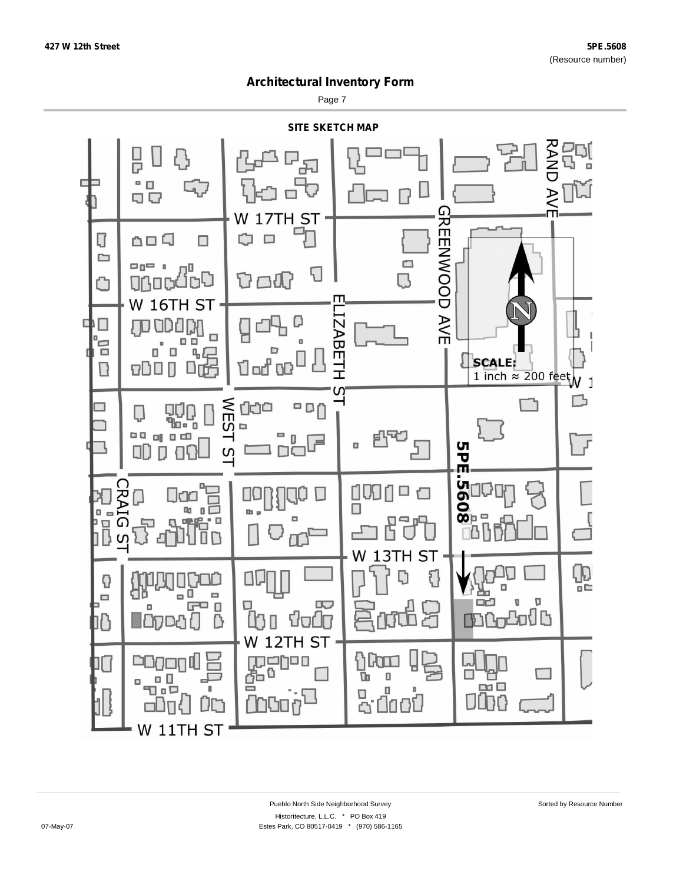Page 7